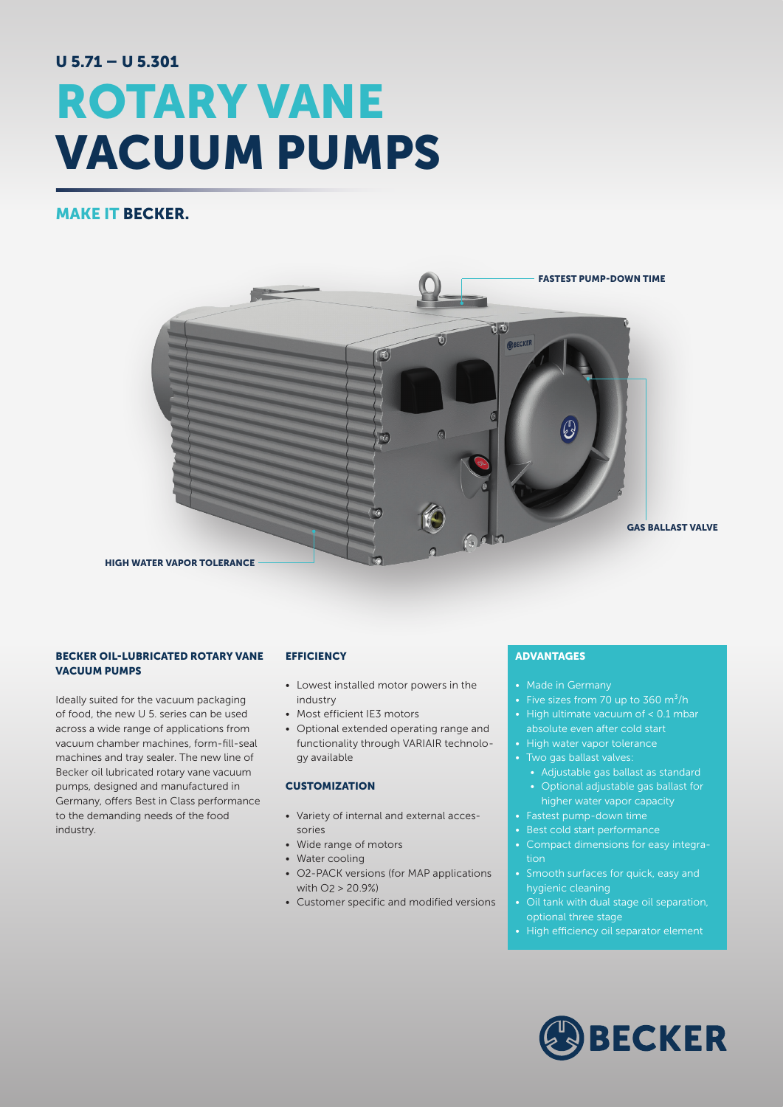# U 5.71 – U 5.301 ROTARY VANE VACUUM PUMPS

## MAKE IT BECKER.



#### BECKER OIL-LUBRICATED ROTARY VANE VACUUM PUMPS

Ideally suited for the vacuum packaging of food, the new U 5. series can be used across a wide range of applications from vacuum chamber machines, form-fill-seal machines and tray sealer. The new line of Becker oil lubricated rotary vane vacuum pumps, designed and manufactured in Germany, offers Best in Class performance to the demanding needs of the food industry.

#### **EFFICIENCY**

- Lowest installed motor powers in the industry
- Most efficient IE3 motors
- Optional extended operating range and functionality through VARIAIR technology available

#### **CUSTOMIZATION**

- Variety of internal and external accessories
- Wide range of motors
- Water cooling
- O2-PACK versions (for MAP applications with O2 > 20.9%)
- Customer specific and modified versions

### ADVANTAGES

- Made in Germany
- Five sizes from 70 up to 360  $m^3/h$
- High ultimate vacuum of < 0.1 mbar absolute even after cold start
- High water vapor tolerance
- Two gas ballast valves:
	- Adjustable gas ballast as standard • Optional adjustable gas ballast for
	- higher water vapor capacity
- Fastest pump-down time
- Best cold start performance
- Compact dimensions for easy integration
- Smooth surfaces for quick, easy and hygienic cleaning
- Oil tank with dual stage oil separation, optional three stage
- High efficiency oil separator element